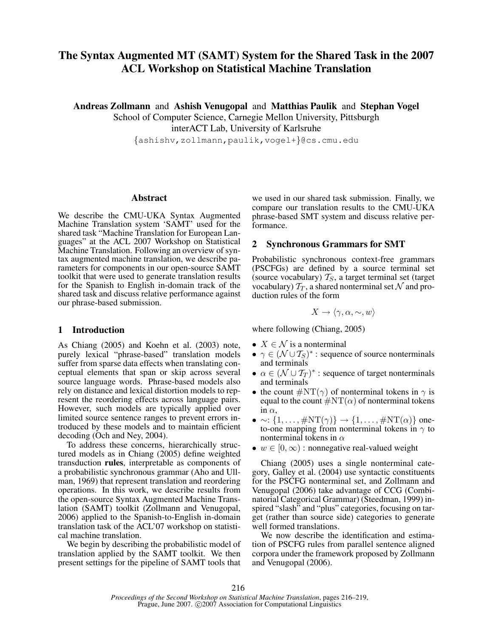# The Syntax Augmented MT (SAMT) System for the Shared Task in the 2007 ACL Workshop on Statistical Machine Translation

Andreas Zollmann and Ashish Venugopal and Matthias Paulik and Stephan Vogel

School of Computer Science, Carnegie Mellon University, Pittsburgh interACT Lab, University of Karlsruhe

{ashishv,zollmann,paulik,vogel+}@cs.cmu.edu

# Abstract

We describe the CMU-UKA Syntax Augmented Machine Translation system 'SAMT' used for the shared task "Machine Translation for European Languages" at the ACL 2007 Workshop on Statistical Machine Translation. Following an overview of syntax augmented machine translation, we describe parameters for components in our open-source SAMT toolkit that were used to generate translation results for the Spanish to English in-domain track of the shared task and discuss relative performance against our phrase-based submission.

### 1 Introduction

As Chiang (2005) and Koehn et al. (2003) note, purely lexical "phrase-based" translation models suffer from sparse data effects when translating conceptual elements that span or skip across several source language words. Phrase-based models also rely on distance and lexical distortion models to represent the reordering effects across language pairs. However, such models are typically applied over limited source sentence ranges to prevent errors introduced by these models and to maintain efficient decoding (Och and Ney, 2004).

To address these concerns, hierarchically structured models as in Chiang (2005) define weighted transduction rules, interpretable as components of a probabilistic synchronous grammar (Aho and Ullman, 1969) that represent translation and reordering operations. In this work, we describe results from the open-source Syntax Augmented Machine Translation (SAMT) toolkit (Zollmann and Venugopal, 2006) applied to the Spanish-to-English in-domain translation task of the ACL'07 workshop on statistical machine translation.

We begin by describing the probabilistic model of translation applied by the SAMT toolkit. We then present settings for the pipeline of SAMT tools that we used in our shared task submission. Finally, we compare our translation results to the CMU-UKA phrase-based SMT system and discuss relative performance.

# 2 Synchronous Grammars for SMT

Probabilistic synchronous context-free grammars (PSCFGs) are defined by a source terminal set (source vocabulary)  $T_S$ , a target terminal set (target vocabulary)  $\mathcal{T}_T$ , a shared nonterminal set N and production rules of the form

$$
X \to \langle \gamma, \alpha, \sim, w \rangle
$$

where following (Chiang, 2005)

- $X \in \mathcal{N}$  is a nonterminal
- $\gamma \in (\mathcal{N} \cup \mathcal{T}_S)^*$ : sequence of source nonterminals and terminals
- $\alpha \in (\mathcal{N} \cup \mathcal{T}_T)^*$  : sequence of target nonterminals and terminals
- the count  $\#\mathrm{NT}(\gamma)$  of nonterminal tokens in  $\gamma$  is equal to the count  $\#\mathrm{NT}(\alpha)$  of nonterminal tokens in  $\alpha$ .
- $\bullet \sim : \{1, \ldots, \#\text{NT}(\gamma)\} \to \{1, \ldots, \#\text{NT}(\alpha)\}\$ oneto-one mapping from nonterminal tokens in  $\gamma$  to nonterminal tokens in  $\alpha$
- $w \in [0, \infty)$ : nonnegative real-valued weight

Chiang (2005) uses a single nonterminal category, Galley et al. (2004) use syntactic constituents for the PSCFG nonterminal set, and Zollmann and Venugopal (2006) take advantage of CCG (Combinatorial Categorical Grammar) (Steedman, 1999) inspired "slash" and "plus" categories, focusing on target (rather than source side) categories to generate well formed translations.

We now describe the identification and estimation of PSCFG rules from parallel sentence aligned corpora under the framework proposed by Zollmann and Venugopal (2006).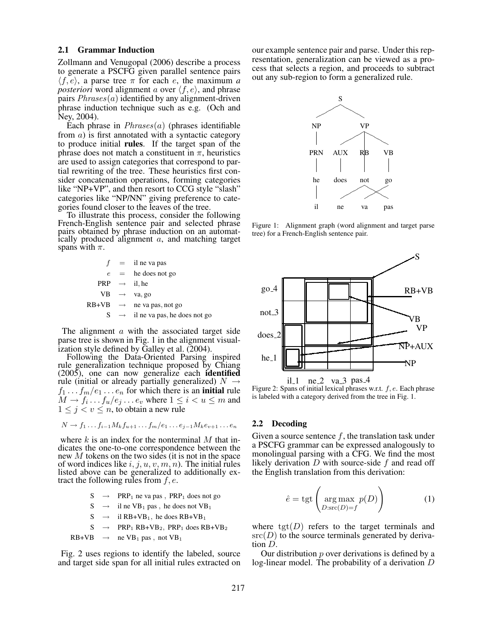#### 2.1 Grammar Induction

Zollmann and Venugopal (2006) describe a process to generate a PSCFG given parallel sentence pairs  $\langle f, e \rangle$ , a parse tree  $\pi$  for each *e*, the maximum *a posteriori* word alignment a over  $\langle f, e \rangle$ , and phrase pairs  $Phrases(a)$  identified by any alignment-driven phrase induction technique such as e.g. (Och and Ney, 2004).

Each phrase in  $Phrases(a)$  (phrases identifiable from  $\alpha$ ) is first annotated with a syntactic category to produce initial rules. If the target span of the phrase does not match a constituent in  $\pi$ , heuristics are used to assign categories that correspond to partial rewriting of the tree. These heuristics first consider concatenation operations, forming categories like "NP+VP", and then resort to CCG style "slash" categories like "NP/NN" giving preference to categories found closer to the leaves of the tree.

To illustrate this process, consider the following French-English sentence pair and selected phrase pairs obtained by phrase induction on an automatically produced alignment a, and matching target spans with  $\pi$ .

|  | $f =$ il ne va pas                           |
|--|----------------------------------------------|
|  | $e$ = he does not go                         |
|  | <b>PRP</b> $\rightarrow$ il, he              |
|  | $VB \rightarrow \text{va}, \text{go}$        |
|  | $RB+VB \rightarrow$ ne va pas, not go        |
|  | $S \rightarrow$ il ne va pas, he does not go |

The alignment  $\alpha$  with the associated target side parse tree is shown in Fig. 1 in the alignment visualization style defined by Galley et al. (2004).

Following the Data-Oriented Parsing inspired rule generalization technique proposed by Chiang (2005), one can now generalize each identified rule (initial or already partially generalized)  $N \rightarrow$  $f_1 \ldots f_m/e_1 \ldots e_n$  for which there is an **initial** rule  $M \to f_i \dots f_u / e_j \dots e_v$  where  $1 \leq i < u \leq m$  and  $1 \leq j \leq v \leq n$ , to obtain a new rule

$$
N \to f_1 \dots f_{i-1} M_k f_{u+1} \dots f_m / e_1 \dots e_{j-1} M_k e_{v+1} \dots e_n
$$

where  $k$  is an index for the nonterminal  $M$  that indicates the one-to-one correspondence between the new  $M$  tokens on the two sides (it is not in the space of word indices like  $i, j, u, v, m, n$ ). The initial rules listed above can be generalized to additionally extract the following rules from  $f, e$ .

 $S \rightarrow PRP_1$  ne va pas,  $PRP_1$  does not go

$$
S \rightarrow \text{il ne VB}_1 \text{ pas }, \text{ he does not VB}_1
$$

- $S \rightarrow$  il RB+VB<sub>1</sub>, he does RB+VB<sub>1</sub>
- $S \rightarrow PRP_1 RB+VB_2$ ,  $PRP_1 does RB+VB_2$

$$
RB+VB \rightarrow \text{ne } VB_1 \text{ pas }, \text{not } VB_1
$$

Fig. 2 uses regions to identify the labeled, source and target side span for all initial rules extracted on our example sentence pair and parse. Under this representation, generalization can be viewed as a process that selects a region, and proceeds to subtract out any sub-region to form a generalized rule.



Figure 1: Alignment graph (word alignment and target parse tree) for a French-English sentence pair.



Figure 2: Spans of initial lexical phrases w.r.t.  $f, e$ . Each phrase is labeled with a category derived from the tree in Fig. 1.

#### 2.2 Decoding

Given a source sentence  $f$ , the translation task under a PSCFG grammar can be expressed analogously to monolingual parsing with a CFG. We find the most likely derivation  $D$  with source-side  $f$  and read off the English translation from this derivation:

$$
\hat{e} = \text{tgt}\left(\underset{D:\text{src}(D)=f}{\text{arg max}} p(D)\right) \tag{1}
$$

where  $tgt(D)$  refers to the target terminals and  $src(D)$  to the source terminals generated by derivation D.

Our distribution  $p$  over derivations is defined by a log-linear model. The probability of a derivation D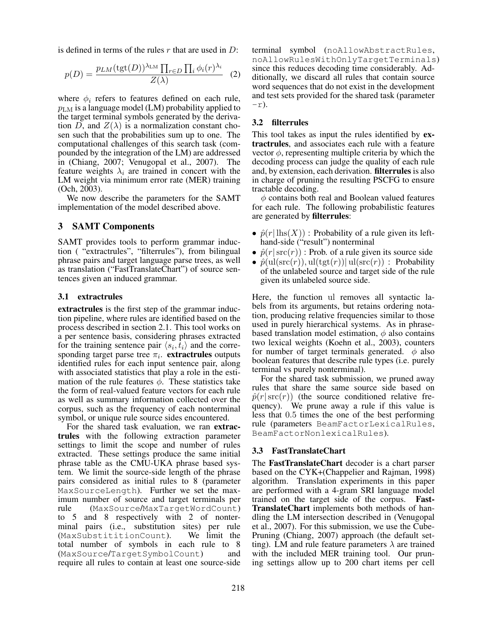is defined in terms of the rules r that are used in  $D$ :

$$
p(D) = \frac{p_{LM}(\text{tgt}(D))^{\lambda_{LM}} \prod_{r \in D} \prod_i \phi_i(r)^{\lambda_i}}{Z(\lambda)}
$$
 (2)

where  $\phi_i$  refers to features defined on each rule,  $p_{LM}$  is a language model (LM) probability applied to the target terminal symbols generated by the derivation D, and  $Z(\lambda)$  is a normalization constant chosen such that the probabilities sum up to one. The computational challenges of this search task (compounded by the integration of the LM) are addressed in (Chiang, 2007; Venugopal et al., 2007). The feature weights  $\lambda_i$  are trained in concert with the LM weight via minimum error rate (MER) training (Och, 2003).

We now describe the parameters for the SAMT implementation of the model described above.

# 3 SAMT Components

SAMT provides tools to perform grammar induction ( "extractrules", "filterrules"), from bilingual phrase pairs and target language parse trees, as well as translation ("FastTranslateChart") of source sentences given an induced grammar.

#### 3.1 extractrules

extractrules is the first step of the grammar induction pipeline, where rules are identified based on the process described in section 2.1. This tool works on a per sentence basis, considering phrases extracted for the training sentence pair  $\langle s_i, \overline{t}_i \rangle$  and the corresponding target parse tree  $\pi_i$ . extractrules outputs identified rules for each input sentence pair, along with associated statistics that play a role in the estimation of the rule features  $\phi$ . These statistics take the form of real-valued feature vectors for each rule as well as summary information collected over the corpus, such as the frequency of each nonterminal symbol, or unique rule source sides encountered.

For the shared task evaluation, we ran extractrules with the following extraction parameter settings to limit the scope and number of rules extracted. These settings produce the same initial phrase table as the CMU-UKA phrase based system. We limit the source-side length of the phrase pairs considered as initial rules to 8 (parameter MaxSourceLength). Further we set the maximum number of source and target terminals per rule (MaxSource/MaxTargetWordCount) to 5 and 8 respectively with 2 of nonterminal pairs (i.e., substitution sites) per rule<br>(MaxSubstititionCount). We limit the (MaxSubstititionCount). total number of symbols in each rule to 8 (MaxSource/TargetSymbolCount) and require all rules to contain at least one source-side

terminal symbol (noAllowAbstractRules, noAllowRulesWithOnlyTargetTerminals) since this reduces decoding time considerably. Additionally, we discard all rules that contain source word sequences that do not exist in the development and test sets provided for the shared task (parameter  $-r$ ).

#### 3.2 filterrules

This tool takes as input the rules identified by **ex**tractrules, and associates each rule with a feature vector  $\phi$ , representing multiple criteria by which the decoding process can judge the quality of each rule and, by extension, each derivation. filterrules is also in charge of pruning the resulting PSCFG to ensure tractable decoding.

 $\phi$  contains both real and Boolean valued features for each rule. The following probabilistic features are generated by filterrules:

- $\hat{p}(r | \text{lhs}(X))$ : Probability of a rule given its lefthand-side ("result") nonterminal
- $\hat{p}(r|src(r))$ : Prob. of a rule given its source side
- $\hat{p}(\text{ul}(\text{src}(r)), \text{ul}(\text{tgt}(r)) | \text{ul}(\text{src}(r))$ : Probability of the unlabeled source and target side of the rule given its unlabeled source side.

Here, the function ul removes all syntactic labels from its arguments, but retains ordering notation, producing relative frequencies similar to those used in purely hierarchical systems. As in phrasebased translation model estimation,  $\phi$  also contains two lexical weights (Koehn et al., 2003), counters for number of target terminals generated.  $\phi$  also boolean features that describe rule types (i.e. purely terminal vs purely nonterminal).

For the shared task submission, we pruned away rules that share the same source side based on  $\hat{p}(r|src(r))$  (the source conditioned relative frequency). We prune away a rule if this value is less that 0.5 times the one of the best performing rule (parameters BeamFactorLexicalRules, BeamFactorNonlexicalRules).

# 3.3 FastTranslateChart

The FastTranslateChart decoder is a chart parser based on the CYK+(Chappelier and Rajman, 1998) algorithm. Translation experiments in this paper are performed with a 4-gram SRI language model trained on the target side of the corpus. Fast-TranslateChart implements both methods of handling the LM intersection described in (Venugopal et al., 2007). For this submission, we use the Cube-Pruning (Chiang, 2007) approach (the default setting). LM and rule feature parameters  $\lambda$  are trained with the included MER training tool. Our pruning settings allow up to 200 chart items per cell